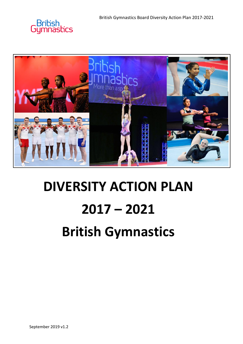



# **DIVERSITY ACTION PLAN 2017 – 2021 British Gymnastics**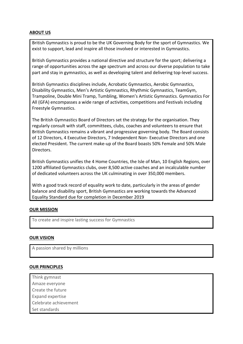# **ABOUT US**

British Gymnastics is proud to be the UK Governing Body for the sport of Gymnastics. We exist to support, lead and inspire all those involved or interested in Gymnastics.

British Gymnastics provides a national directive and structure for the sport; delivering a range of opportunities across the age spectrum and across our diverse population to take part and stay in gymnastics, as well as developing talent and delivering top-level success.

British Gymnastics disciplines include, Acrobatic Gymnastics, Aerobic Gymnastics, Disability Gymnastics, Men's Artistic Gymnastics, Rhythmic Gymnastics, TeamGym, Trampoline, Double Mini Tramp, Tumbling, Women's Artistic Gymnastics. Gymnastics For All (GFA) encompasses a wide range of activities, competitions and Festivals including Freestyle Gymnastics.

The British Gymnastics Board of Directors set the strategy for the organisation. They regularly consult with staff, committees, clubs, coaches and volunteers to ensure that British Gymnastics remains a vibrant and progressive governing body. The Board consists of 12 Directors, 4 Executive Directors, 7 Independent Non- Executive Directors and one elected President. The current make-up of the Board boasts 50% Female and 50% Male Directors.

British Gymnastics unifies the 4 Home Countries, the Isle of Man, 10 English Regions, over 1200 affiliated Gymnastics clubs, over 8,500 active coaches and an incalculable number of dedicated volunteers across the UK culminating in over 350,000 members.

With a good track record of equality work to date, particularly in the areas of gender balance and disability sport, British Gymnastics are working towards the Advanced Equality Standard due for completion in December 2019

# **OUR MISSION**

To create and inspire lasting success for Gymnastics

## **OUR VISION**

A passion shared by millions

## **OUR PRINCIPLES**

- Think gymnast
- Amaze everyone
- Create the future
- Expand expertise
- Celebrate achievement
- Set standards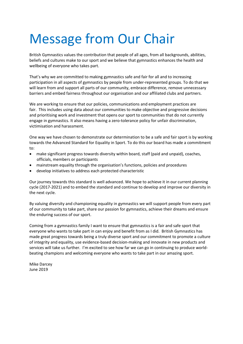# Message from Our Chair

British Gymnastics values the contribution that people of all ages, from all backgrounds, abilities, beliefs and cultures make to our sport and we believe that gymnastics enhances the health and wellbeing of everyone who takes part.

That's why we are committed to making gymnastics safe and fair for all and to increasing participation in all aspects of gymnastics by people from under-represented groups. To do that we will learn from and support all parts of our community, embrace difference, remove unnecessary barriers and embed fairness throughout our organisation and our affiliated clubs and partners.

We are working to ensure that our policies, communications and employment practices are fair. This includes using data about our communities to make objective and progressive decisions and prioritising work and investment that opens our sport to communities that do not currently engage in gymnastics. It also means having a zero-tolerance policy for unfair discrimination, victimisation and harassment.

One way we have chosen to demonstrate our determination to be a safe and fair sport is by working towards the Advanced Standard for Equality in Sport. To do this our board has made a commitment to:

- make significant progress towards diversity within board, staff (paid and unpaid), coaches, officials, members or participants
- mainstream equality through the organisation's functions, policies and procedures
- develop initiatives to address each protected characteristic

Our journey towards this standard is well advanced. We hope to achieve it in our current planning cycle (2017-2021) and to embed the standard and continue to develop and improve our diversity in the next cycle.

By valuing diversity and championing equality in gymnastics we will support people from every part of our community to take part, share our passion for gymnastics, achieve their dreams and ensure the enduring success of our sport.

Coming from a gymnastics family I want to ensure that gymnastics is a fair and safe sport that everyone who wants to take part in can enjoy and benefit from as I did. British Gymnastics has made great progress towards being a truly diverse sport and our commitment to promote a culture of integrity and equality, use evidence-based decision-making and innovate in new products and services will take us further. I'm excited to see how far we can go in continuing to produce worldbeating champions and welcoming everyone who wants to take part in our amazing sport.

Mike Darcey June 2019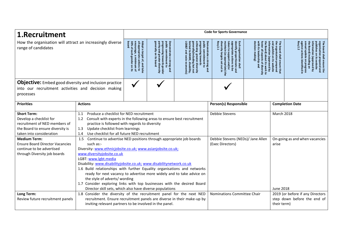| 1.Recruitment                                                                                                                                                         |                                                                                                                                                                                                                                                                                           | <b>Code for Sports Governance</b>                                                                                                                                                                                                                                                                                                                                                                                                                                                                                                                          |                                                                                                                                                       |                                                                                                                                                                        |                                                                                                                                                                                                 |                                                                                                                                                                                                                              |  |                                                                                                                                                                                                                                                       |  |  |
|-----------------------------------------------------------------------------------------------------------------------------------------------------------------------|-------------------------------------------------------------------------------------------------------------------------------------------------------------------------------------------------------------------------------------------------------------------------------------------|------------------------------------------------------------------------------------------------------------------------------------------------------------------------------------------------------------------------------------------------------------------------------------------------------------------------------------------------------------------------------------------------------------------------------------------------------------------------------------------------------------------------------------------------------------|-------------------------------------------------------------------------------------------------------------------------------------------------------|------------------------------------------------------------------------------------------------------------------------------------------------------------------------|-------------------------------------------------------------------------------------------------------------------------------------------------------------------------------------------------|------------------------------------------------------------------------------------------------------------------------------------------------------------------------------------------------------------------------------|--|-------------------------------------------------------------------------------------------------------------------------------------------------------------------------------------------------------------------------------------------------------|--|--|
| How the organisation will attract an increasingly diverse<br>range of candidates                                                                                      |                                                                                                                                                                                                                                                                                           | all appropriate actions to<br>30% of<br>encourage, a<br>Adopt a target of, and take<br><b>gender</b><br>minimum<br>$\mathsf S$<br>ត $\frac{1}{3}$                                                                                                                                                                                                                                                                                                                                                                                                          | generally<br>progressing towards gender<br>parity and greater diversity<br>public commitment to<br>Demonstrate a strong and<br>on its<br><b>board</b> | Demonstrate a strong and<br>public commitment to<br>enerally(including but not<br>mited to BAME, disability,<br>chieving<br>rogressing<br>greater diversity<br>towards | diversity<br>Req 2.1<br>maintain<br>taken to support and/or<br>Each organisation shall<br>identify proportionate<br>appropriate actions to<br>(as appropriate) the<br>rgets<br>gut<br>is a<br>Б | 룲<br>the organisation prepared<br>and publish on its website<br>roster all<br>nformation<br>Board)<br>board shall ensure<br>leadership<br>making)<br>aspects of diversity<br>about<br>(approved by<br>ਫ਼ੋ<br>work to<br>that |  | he Board)<br>$\overline{a}$<br>gainst<br>eq 2.2<br>mual update<br>rganisation prepared aı<br>ublishes on its website<br>formation<br>board shall ensure the<br>anisation prepared and<br>including an<br>(approved by<br>on progress<br>identified in |  |  |
| <b>Objective:</b> Embed good diversity and inclusion practice                                                                                                         |                                                                                                                                                                                                                                                                                           |                                                                                                                                                                                                                                                                                                                                                                                                                                                                                                                                                            |                                                                                                                                                       |                                                                                                                                                                        |                                                                                                                                                                                                 |                                                                                                                                                                                                                              |  |                                                                                                                                                                                                                                                       |  |  |
| into our recruitment activities and decision making<br>processes                                                                                                      |                                                                                                                                                                                                                                                                                           |                                                                                                                                                                                                                                                                                                                                                                                                                                                                                                                                                            |                                                                                                                                                       |                                                                                                                                                                        |                                                                                                                                                                                                 |                                                                                                                                                                                                                              |  |                                                                                                                                                                                                                                                       |  |  |
| <b>Priorities</b>                                                                                                                                                     | <b>Actions</b>                                                                                                                                                                                                                                                                            |                                                                                                                                                                                                                                                                                                                                                                                                                                                                                                                                                            | Person(s) Responsible                                                                                                                                 |                                                                                                                                                                        | <b>Completion Date</b>                                                                                                                                                                          |                                                                                                                                                                                                                              |  |                                                                                                                                                                                                                                                       |  |  |
| <b>Short Term:</b><br>Develop a checklist for<br>recruitment of NED members of<br>the Board to ensure diversity is<br>taken into consideration<br><b>Medium Term:</b> | Produce a checklist for NED recruitment<br>1.1<br>Consult with experts in the following areas to ensure best recruitment<br>1.2<br>practice is followed with regards to diversity<br>Update checklist from learnings<br>1.3<br>Use checklist for all future NED recruitment<br>1.4<br>1.5 | Debbie Stevens<br>Debbie Stevens (NEDs)/ Jane Allen                                                                                                                                                                                                                                                                                                                                                                                                                                                                                                        |                                                                                                                                                       | March 2018<br>On-going as and when vacancies                                                                                                                           |                                                                                                                                                                                                 |                                                                                                                                                                                                                              |  |                                                                                                                                                                                                                                                       |  |  |
| <b>Ensure Board Director Vacancies</b><br>continue to be advertised<br>through Diversity job boards                                                                   | such as:-<br>www.diversityjobsite.co.uk<br>LGBT: www.lgbt.media                                                                                                                                                                                                                           | Continue to advertise NED positions through appropriate job boards<br>(Exec Directors)<br>Diversity: www.ethnicjobsite.co.uk; www.asianjobsite.co.uk;<br>Disability: www.disabilityjobsite.co.uk; www.disabilitynetwork.co.uk<br>1.6 Build relationships with further Equality organisations and networks<br>ready for next vacancy to advertise more widely and to take advice on<br>the style of adverts/ wording<br>1.7 Consider exploring links with top businesses with the desired Board<br>Director skill sets, which also have diverse populations |                                                                                                                                                       |                                                                                                                                                                        |                                                                                                                                                                                                 |                                                                                                                                                                                                                              |  | arise<br>June 2018                                                                                                                                                                                                                                    |  |  |
| Long Term:<br>Review future recruitment panels                                                                                                                        | 1.8 Consider the diversity of the recruitment panel for the next NED<br>recruitment. Ensure recruitment panels are diverse in their make-up by<br>inviting relevant partners to be involved in the panel.                                                                                 |                                                                                                                                                                                                                                                                                                                                                                                                                                                                                                                                                            |                                                                                                                                                       |                                                                                                                                                                        | Nominations Committee Chair<br>their term)                                                                                                                                                      |                                                                                                                                                                                                                              |  | 2019 (or before if any Directors<br>step down before the end of                                                                                                                                                                                       |  |  |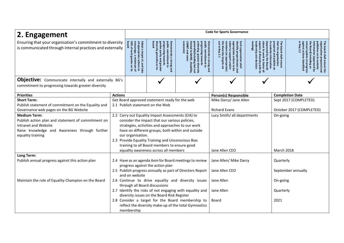| 2. Engagement                                                                                                                                                           |                                                                                                                                                          | <b>Code for Sports Governance</b>                                                                                                             |                                                                                                                                                                                                                                                                                                                                                               |                                                                                                                                                                                                                                                                                                                                                                        |                                               |                                                                                               |                                                                                                                                                                                                                                   |           |  |
|-------------------------------------------------------------------------------------------------------------------------------------------------------------------------|----------------------------------------------------------------------------------------------------------------------------------------------------------|-----------------------------------------------------------------------------------------------------------------------------------------------|---------------------------------------------------------------------------------------------------------------------------------------------------------------------------------------------------------------------------------------------------------------------------------------------------------------------------------------------------------------|------------------------------------------------------------------------------------------------------------------------------------------------------------------------------------------------------------------------------------------------------------------------------------------------------------------------------------------------------------------------|-----------------------------------------------|-----------------------------------------------------------------------------------------------|-----------------------------------------------------------------------------------------------------------------------------------------------------------------------------------------------------------------------------------|-----------|--|
| Ensuring that your organisation's commitment to diversity<br>is communicated through internal practices and externally                                                  | 30% of<br>board<br>encourage,<br>Adopta<br>lopt a target of, and take<br>appropriate actions to<br>each<br>a minimum of<br>gender on its                 | diversity generally on<br>gender parity and greate<br>public commitment to<br>progressing towards<br>Demonstrate a<br>strong and<br>$\bar{a}$ | public commitment to<br><b>Demonstrate</b><br>sconomic)<br>generally(including but no<br>GB&T and<br>chieving<br>ogressing towards<br>$\overline{\mathbf{5}}$<br><b>BAME,</b><br>greater diversity<br>socio-<br>a strong and<br>disability                                                                                                                    | out in<br>딇<br>maintain<br>identify proportionate and<br>appropriate actions to be<br>Each organisation shall<br>making)<br>taken to support and/or<br>identify proportionate<br>aspects<br>bout its<br>ndersh<br>proved<br>diversity<br>Req<br>work to foster<br>(as appropriate<br>aive<br>py the<br>2.1<br>information<br>by the Board)<br>stity with<br>rgets<br>≌ |                                               | that the organisation<br>ΞĒ<br>prepared and<br>website<br>board shall<br>publish on<br>ensure | The board shall ensure the<br>organisation prepared and<br>he Board)<br>gainst a<br>ublishes<br>formation<br>Req 2.2<br>mual update<br>$\mathsf S$<br>including an<br>(approved by<br>n prepared art<br>its website<br>identified |           |  |
| <b>Objective:</b> Communicate internally and externally BG's<br>commitment to progressing towards greater diversity                                                     |                                                                                                                                                          |                                                                                                                                               |                                                                                                                                                                                                                                                                                                                                                               |                                                                                                                                                                                                                                                                                                                                                                        |                                               |                                                                                               |                                                                                                                                                                                                                                   |           |  |
| <b>Priorities</b>                                                                                                                                                       | <b>Actions</b>                                                                                                                                           |                                                                                                                                               |                                                                                                                                                                                                                                                                                                                                                               |                                                                                                                                                                                                                                                                                                                                                                        |                                               |                                                                                               | <b>Completion Date</b>                                                                                                                                                                                                            |           |  |
| <b>Short Term:</b>                                                                                                                                                      |                                                                                                                                                          |                                                                                                                                               | Get Board approved statement ready for the web                                                                                                                                                                                                                                                                                                                |                                                                                                                                                                                                                                                                                                                                                                        | Mike Darcy/ Jane Allen                        |                                                                                               | Sept 2017 (COMPLETED)                                                                                                                                                                                                             |           |  |
| Publish statement of commitment on the Equality and<br>Governance web pages on the BG Website                                                                           | 2.1 Publish statement on the Web<br><b>Richard Evans</b><br>October 2017 (COMPLETED)                                                                     |                                                                                                                                               |                                                                                                                                                                                                                                                                                                                                                               |                                                                                                                                                                                                                                                                                                                                                                        |                                               |                                                                                               |                                                                                                                                                                                                                                   |           |  |
| <b>Medium Term:</b><br>Publish action plan and statement of commitment on<br>Intranet and Website<br>Raise knowledge and Awareness through further<br>equality training |                                                                                                                                                          | our organisation.                                                                                                                             | 2.2 Carry out Equality Impact Assessments (EIA) to<br>consider the impact that our various policies,<br>strategies, activities and approaches to our work<br>have on different groups, both within and outside<br>2.3 Provide Equality Training and Unconscious Bias<br>training to all Board members to ensure good<br>equality awareness across all members |                                                                                                                                                                                                                                                                                                                                                                        | Lucy Smith/ all departments<br>Jane Allen CEO |                                                                                               | On-going<br><b>March 2018</b>                                                                                                                                                                                                     |           |  |
| Long Term:                                                                                                                                                              |                                                                                                                                                          |                                                                                                                                               |                                                                                                                                                                                                                                                                                                                                                               |                                                                                                                                                                                                                                                                                                                                                                        |                                               |                                                                                               |                                                                                                                                                                                                                                   |           |  |
| Publish annual progress against this action plan                                                                                                                        | 2.4 Have as an agenda item for Board meetings to review<br>progress against the action plan<br>2.5 Publish progress annually as part of Directors Report |                                                                                                                                               |                                                                                                                                                                                                                                                                                                                                                               |                                                                                                                                                                                                                                                                                                                                                                        | Jane Allen/ Mike Darcy<br>Jane Allen CEO      |                                                                                               | Quarterly<br>September annually                                                                                                                                                                                                   |           |  |
| Maintain the role of Equality Champion on the Board                                                                                                                     | and on website<br>2.6 Continue to drive equality and diversity issues<br>through all Board discussions                                                   |                                                                                                                                               |                                                                                                                                                                                                                                                                                                                                                               |                                                                                                                                                                                                                                                                                                                                                                        | Jane Allen                                    |                                                                                               | On-going                                                                                                                                                                                                                          |           |  |
|                                                                                                                                                                         |                                                                                                                                                          | 2.7 Identify the risks of not engaging with equality and<br>diversity issues on the Board Risk Register                                       |                                                                                                                                                                                                                                                                                                                                                               |                                                                                                                                                                                                                                                                                                                                                                        | Jane Allen                                    |                                                                                               |                                                                                                                                                                                                                                   | Quarterly |  |
|                                                                                                                                                                         |                                                                                                                                                          | membership                                                                                                                                    |                                                                                                                                                                                                                                                                                                                                                               | 2.8 Consider a target for the Board membership to<br>reflect the diversity make-up of the total Gymnastics                                                                                                                                                                                                                                                             | Board<br>2021                                 |                                                                                               |                                                                                                                                                                                                                                   |           |  |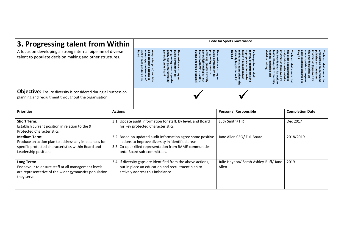| 3. Progressing talent from Within                                                                                                                          | <b>Code for Sports Governance</b>                                                                                                                                                                                                                   |                                                                                                                                                         |                                                                                                                                  |                                                                                                                                                                                                                                                                                              |                                                                                                                                    |                                                                                     |                                                                                                                                                                                |                        |  |
|------------------------------------------------------------------------------------------------------------------------------------------------------------|-----------------------------------------------------------------------------------------------------------------------------------------------------------------------------------------------------------------------------------------------------|---------------------------------------------------------------------------------------------------------------------------------------------------------|----------------------------------------------------------------------------------------------------------------------------------|----------------------------------------------------------------------------------------------------------------------------------------------------------------------------------------------------------------------------------------------------------------------------------------------|------------------------------------------------------------------------------------------------------------------------------------|-------------------------------------------------------------------------------------|--------------------------------------------------------------------------------------------------------------------------------------------------------------------------------|------------------------|--|
| A focus on developing a strong internal pipeline of diverse<br>talent to populate decision making and other structures.                                    | board<br>all appropriate<br>30%<br>encourage,<br>Adopt a target<br>$\overline{Q}$<br>$\omega$<br>minimum<br>$\ddot{\vec{\sigma}}$<br>actions to<br>and take<br>g<br>ಡ ೩                                                                             | generally on<br>parity and<br>public commitment to<br>progressing towards gender<br>Demonstrate a strong and<br>greater diversity<br><b>GS</b><br>pased | public commitment to<br>progressin<br><b>Jenerall</b><br>ylincluding<br>g towards<br>area<br>disability,<br>diversity<br>but not | Demonstrate<br>diversity<br>Req 2.1<br>taken<br>dentify proportionate and<br>Each organisation shall<br>naintain (as<br><b>ppropriate</b><br>to support and/or<br>cargets<br>യ<br>appropriate) th<br>$\pmb{\omega}$<br>actions<br>strong and<br>$\overline{5}$<br>gut<br>$\overline{g}$<br>Б | nformation<br>vith its lead<br>he Board<br>g<br>lership<br>(approved by<br>outits<br>$\circ$<br>pue<br>응<br>work<br>$\overline{a}$ | he board shall ensure that<br>he organisation prepared<br>nd publish on its website | $Req$ 2.2<br>lenu<br>ormation<br>blishes on<br>board shall ensure the<br>inisation prepared and<br>actions<br>de)<br>its website<br>identified in<br>broved by<br>rogress<br>å |                        |  |
| <b>Objective:</b> Ensure diversity is considered during all succession<br>planning and recruitment throughout the organisation                             |                                                                                                                                                                                                                                                     |                                                                                                                                                         |                                                                                                                                  |                                                                                                                                                                                                                                                                                              |                                                                                                                                    |                                                                                     |                                                                                                                                                                                |                        |  |
| <b>Priorities</b>                                                                                                                                          | <b>Actions</b>                                                                                                                                                                                                                                      |                                                                                                                                                         |                                                                                                                                  |                                                                                                                                                                                                                                                                                              | Person(s) Responsible                                                                                                              |                                                                                     |                                                                                                                                                                                | <b>Completion Date</b> |  |
| <b>Short Term:</b><br>Establish current position in relation to the 9<br><b>Protected Characteristics</b>                                                  |                                                                                                                                                                                                                                                     | 3.1 Update audit information for staff, by level, and Board<br>Lucy Smith/HR<br>Dec 2017<br>for key protected Characteristics                           |                                                                                                                                  |                                                                                                                                                                                                                                                                                              |                                                                                                                                    |                                                                                     |                                                                                                                                                                                |                        |  |
| <b>Medium Term:</b><br>Produce an action plan to address any imbalances for<br>specific protected characteristics within Board and<br>Leadership positions | Jane Allen CEO/ Full Board<br>2018/2019<br>3.2 Based on updated audit information agree some positive<br>actions to improve diversity in identified areas.<br>3.3 Co-opt skilled representation from BAME communities<br>onto Board sub-committees. |                                                                                                                                                         |                                                                                                                                  |                                                                                                                                                                                                                                                                                              |                                                                                                                                    |                                                                                     |                                                                                                                                                                                |                        |  |
| Long Term:<br>Endeavour to ensure staff at all management levels<br>are representative of the wider gymnastics population<br>they serve                    |                                                                                                                                                                                                                                                     | actively address this imbalance.                                                                                                                        | 3.4 If diversity gaps are identified from the above actions,<br>put in place an education and recruitment plan to                |                                                                                                                                                                                                                                                                                              | Julie Haydon/ Sarah Ashley-Ruff/ Jane<br>Allen                                                                                     |                                                                                     |                                                                                                                                                                                |                        |  |